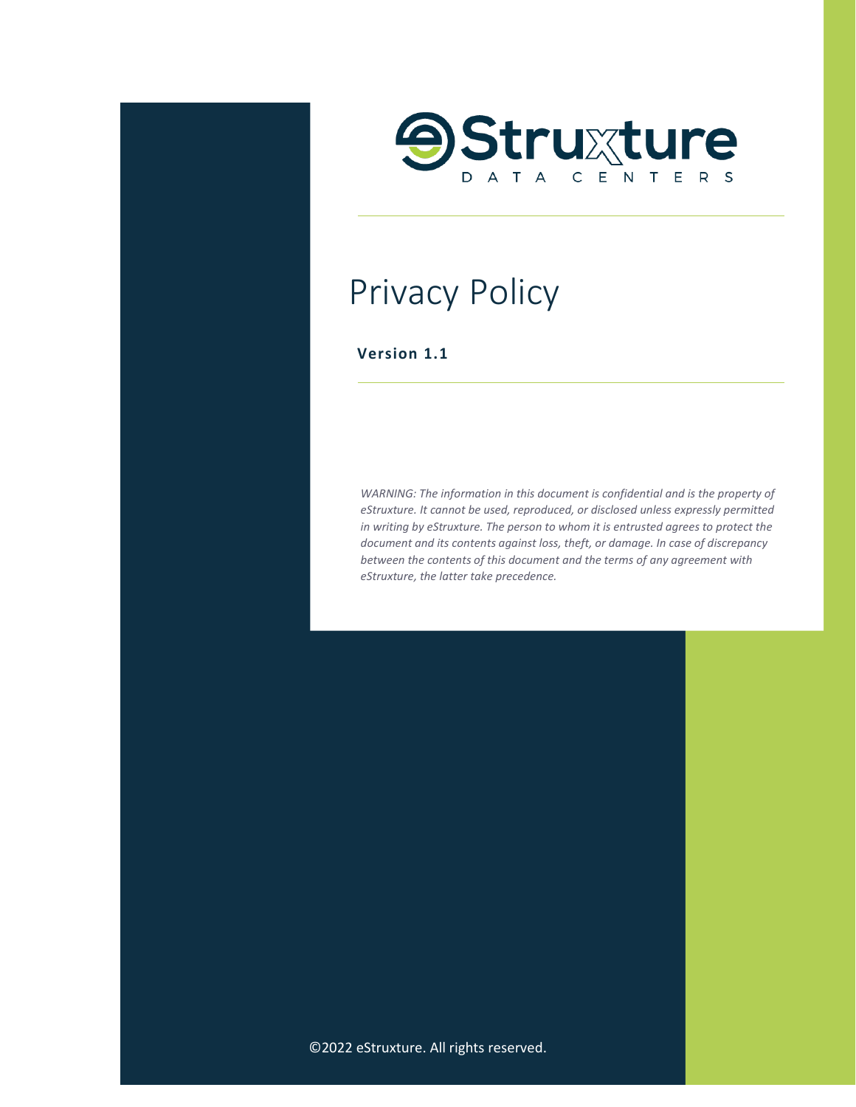

# Privacy Policy

#### **Version 1.1**

*WARNING: The information in this document is confidential and is the property of eStruxture. It cannot be used, reproduced, or disclosed unless expressly permitted in writing by eStruxture. The person to whom it is entrusted agrees to protect the document and its contents against loss, theft, or damage. In case of discrepancy between the contents of this document and the terms of any agreement with eStruxture, the latter take precedence.*

©2022 eStruxture. All rights reserved.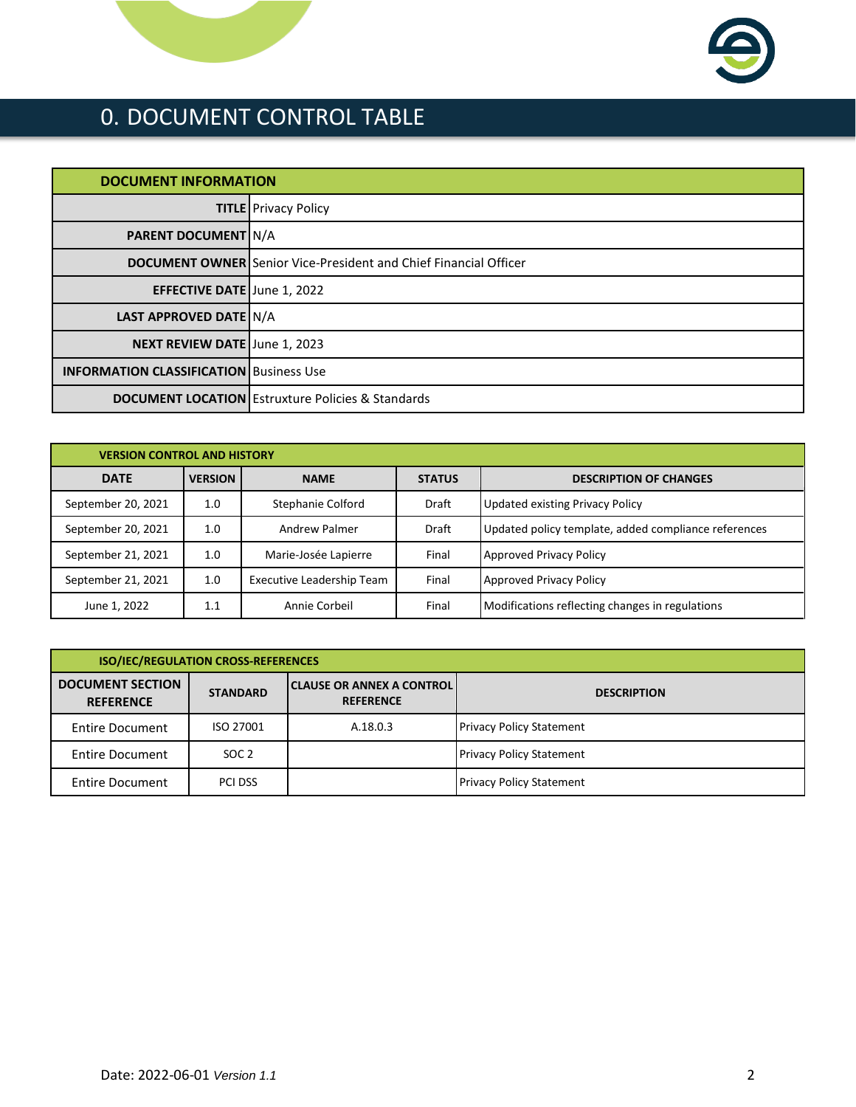

# <span id="page-1-0"></span>0. DOCUMENT CONTROL TABLE

| <b>DOCUMENT INFORMATION</b>                    |                                                                         |  |  |
|------------------------------------------------|-------------------------------------------------------------------------|--|--|
|                                                | <b>TITLE Privacy Policy</b>                                             |  |  |
| <b>PARENT DOCUMENT N/A</b>                     |                                                                         |  |  |
|                                                | <b>DOCUMENT OWNER</b> Senior Vice-President and Chief Financial Officer |  |  |
| <b>EFFECTIVE DATE</b> June 1, 2022             |                                                                         |  |  |
| <b>LAST APPROVED DATE N/A</b>                  |                                                                         |  |  |
| <b>NEXT REVIEW DATE June 1, 2023</b>           |                                                                         |  |  |
| <b>INFORMATION CLASSIFICATION Business Use</b> |                                                                         |  |  |
|                                                | <b>DOCUMENT LOCATION</b> Estruxture Policies & Standards                |  |  |

| <b>VERSION CONTROL AND HISTORY</b> |                |                            |               |                                                      |  |  |  |
|------------------------------------|----------------|----------------------------|---------------|------------------------------------------------------|--|--|--|
| <b>DATE</b>                        | <b>VERSION</b> | <b>NAME</b>                | <b>STATUS</b> | <b>DESCRIPTION OF CHANGES</b>                        |  |  |  |
| September 20, 2021                 | 1.0            | Draft<br>Stephanie Colford |               | Updated existing Privacy Policy                      |  |  |  |
| September 20, 2021                 | 1.0            | Andrew Palmer              | Draft         | Updated policy template, added compliance references |  |  |  |
| September 21, 2021                 | 1.0            | Marie-Josée Lapierre       | Final         | <b>Approved Privacy Policy</b>                       |  |  |  |
| September 21, 2021                 | 1.0            | Executive Leadership Team  | Final         | <b>Approved Privacy Policy</b>                       |  |  |  |
| June 1, 2022                       | 1.1            | Annie Corbeil              | Final         | Modifications reflecting changes in regulations      |  |  |  |

| <b>ISO/IEC/REGULATION CROSS-REFERENCES</b>  |                  |                                                        |                                 |  |  |  |
|---------------------------------------------|------------------|--------------------------------------------------------|---------------------------------|--|--|--|
| <b>DOCUMENT SECTION</b><br><b>REFERENCE</b> | <b>STANDARD</b>  | <b>ICLAUSE OR ANNEX A CONTROLI</b><br><b>REFERENCE</b> | <b>DESCRIPTION</b>              |  |  |  |
| <b>Entire Document</b>                      | ISO 27001        | A.18.0.3                                               | <b>Privacy Policy Statement</b> |  |  |  |
| <b>Entire Document</b>                      | SOC <sub>2</sub> |                                                        | <b>Privacy Policy Statement</b> |  |  |  |
| <b>Entire Document</b>                      | PCI DSS          |                                                        | <b>Privacy Policy Statement</b> |  |  |  |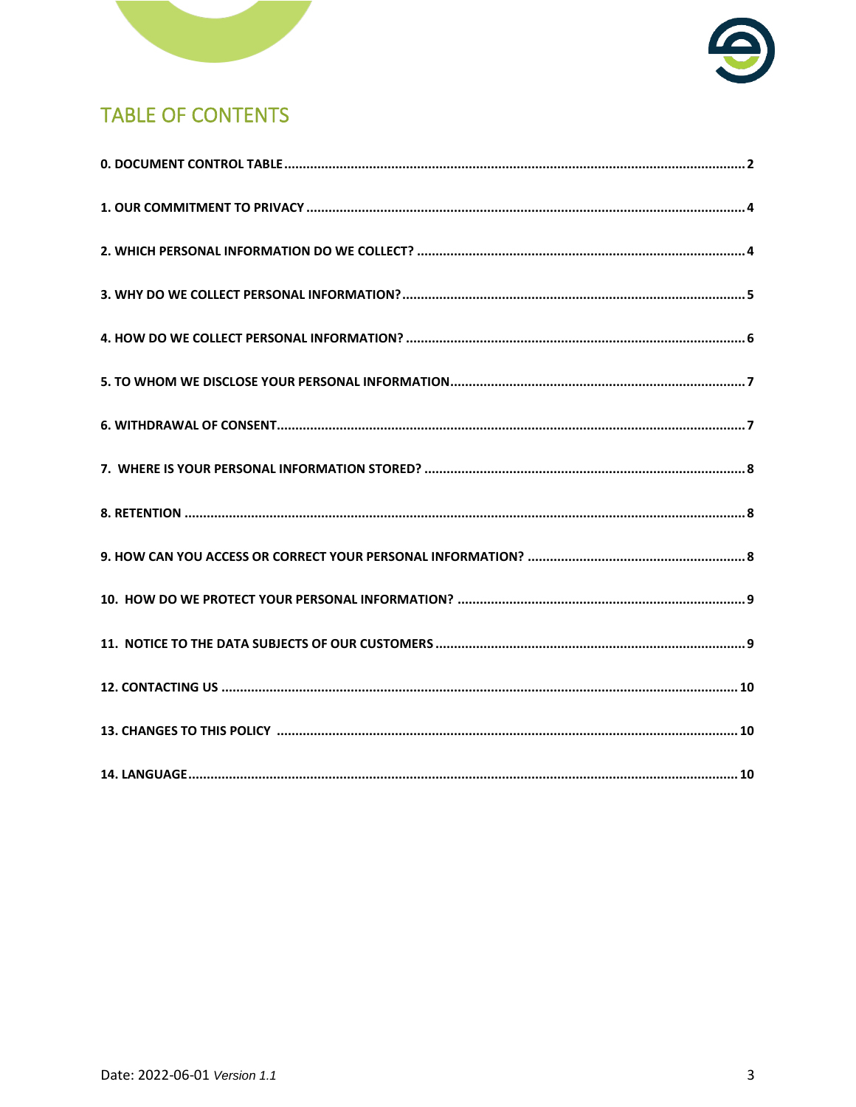



#### **TABLE OF CONTENTS**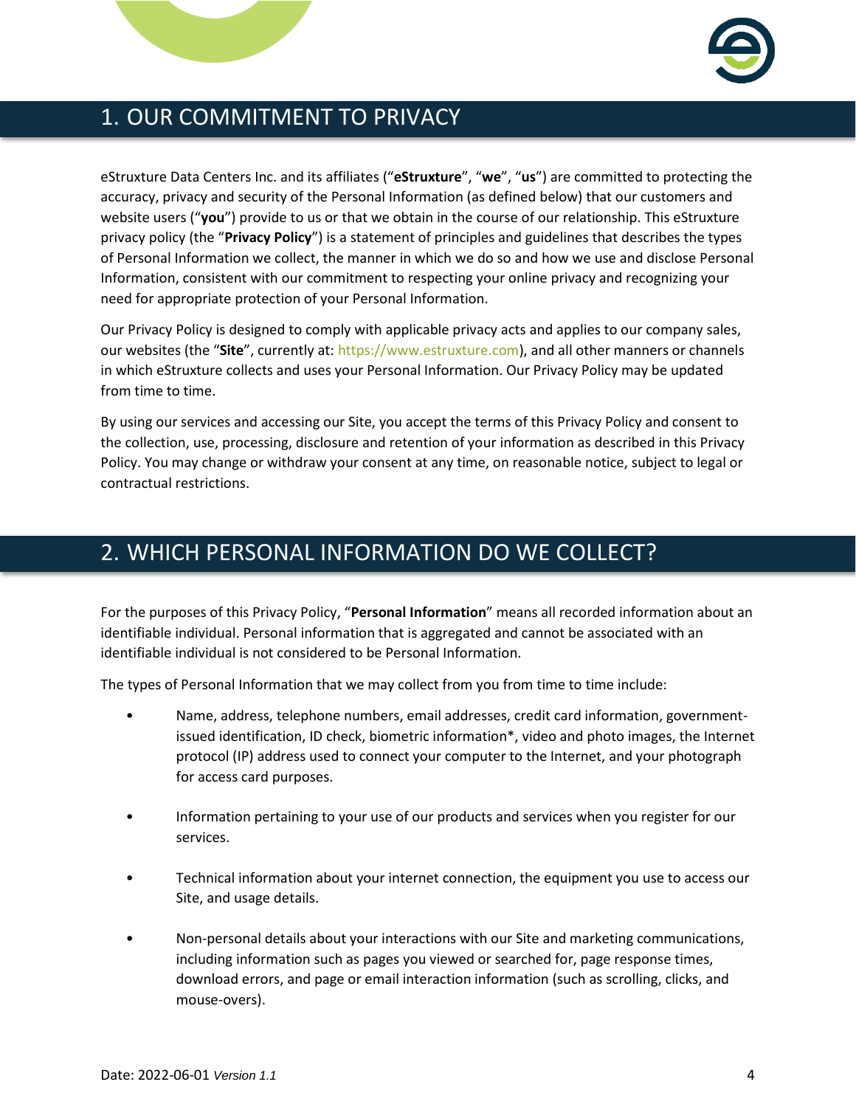

#### 1. OUR COMMITMENT TO PRIVACY

<span id="page-3-0"></span>eStruxture Data Centers Inc. and its affiliates ("**eStruxture**", "**we**", "**us**") are committed to protecting the accuracy, privacy and security of the Personal Information (as defined below) that our customers and website users ("**you**") provide to us or that we obtain in the course of our relationship. This eStruxture privacy policy (the "**Privacy Policy**") is a statement of principles and guidelines that describes the types of Personal Information we collect, the manner in which we do so and how we use and disclose Personal Information, consistent with our commitment to respecting your online privacy and recognizing your need for appropriate protection of your Personal Information.

Our Privacy Policy is designed to comply with applicable privacy acts and applies to our company sales, our websites (the "**Site**", currently at: https://www.estruxture.com), and all other manners or channels in which eStruxture collects and uses your Personal Information. Our Privacy Policy may be updated from time to time.

By using our services and accessing our Site, you accept the terms of this Privacy Policy and consent to the collection, use, processing, disclosure and retention of your information as described in this Privacy Policy. You may change or withdraw your consent at any time, on reasonable notice, subject to legal or contractual restrictions.

### <span id="page-3-1"></span>2. WHICH PERSONAL INFORMATION DO WE COLLECT?

For the purposes of this Privacy Policy, "**Personal Information**" means all recorded information about an identifiable individual. Personal information that is aggregated and cannot be associated with an identifiable individual is not considered to be Personal Information.

The types of Personal Information that we may collect from you from time to time include:

- Name, address, telephone numbers, email addresses, credit card information, governmentissued identification, ID check, biometric information\*, video and photo images, the Internet protocol (IP) address used to connect your computer to the Internet, and your photograph for access card purposes.
- Information pertaining to your use of our products and services when you register for our services.
- Technical information about your internet connection, the equipment you use to access our Site, and usage details.
- Non-personal details about your interactions with our Site and marketing communications, including information such as pages you viewed or searched for, page response times, download errors, and page or email interaction information (such as scrolling, clicks, and mouse-overs).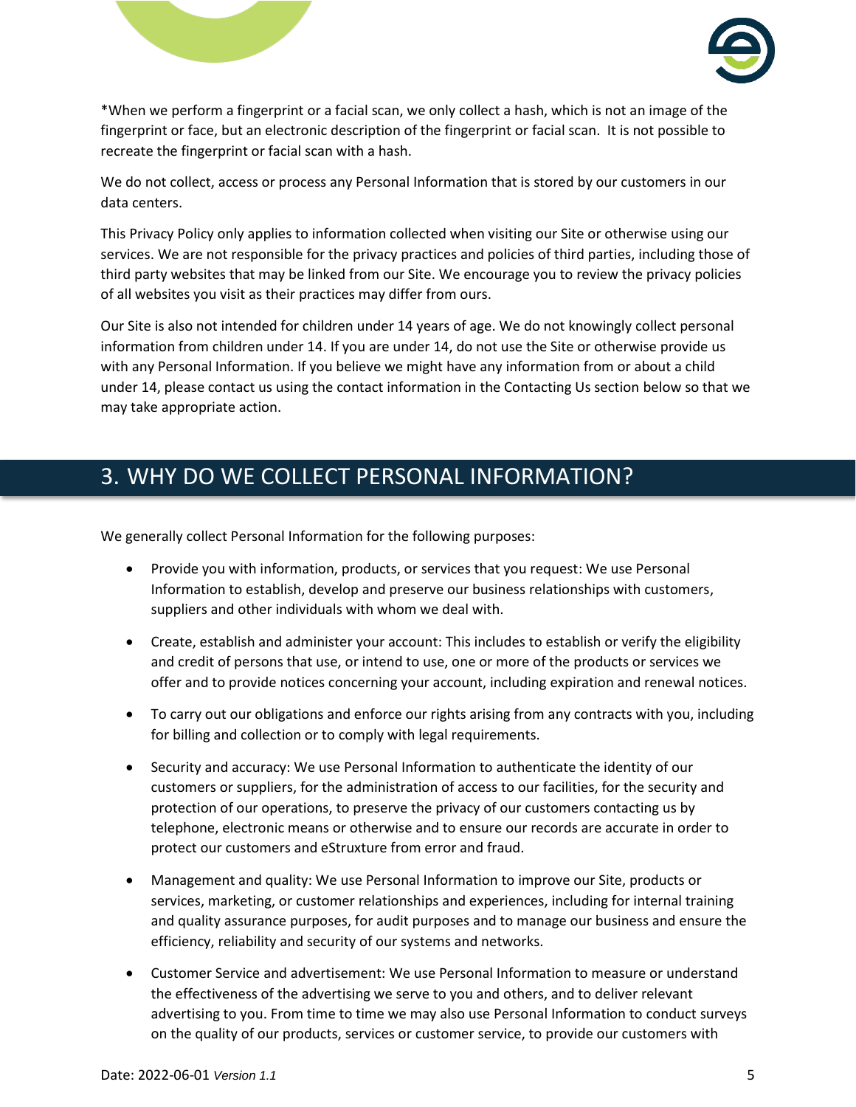

\*When we perform a fingerprint or a facial scan, we only collect a hash, which is not an image of the fingerprint or face, but an electronic description of the fingerprint or facial scan. It is not possible to recreate the fingerprint or facial scan with a hash.

We do not collect, access or process any Personal Information that is stored by our customers in our data centers.

This Privacy Policy only applies to information collected when visiting our Site or otherwise using our services. We are not responsible for the privacy practices and policies of third parties, including those of third party websites that may be linked from our Site. We encourage you to review the privacy policies of all websites you visit as their practices may differ from ours.

Our Site is also not intended for children under 14 years of age. We do not knowingly collect personal information from children under 14. If you are under 14, do not use the Site or otherwise provide us with any Personal Information. If you believe we might have any information from or about a child under 14, please contact us using the contact information in the Contacting Us section below so that we may take appropriate action.

#### <span id="page-4-0"></span>3. WHY DO WE COLLECT PERSONAL INFORMATION?

We generally collect Personal Information for the following purposes:

- Provide you with information, products, or services that you request: We use Personal Information to establish, develop and preserve our business relationships with customers, suppliers and other individuals with whom we deal with.
- Create, establish and administer your account: This includes to establish or verify the eligibility and credit of persons that use, or intend to use, one or more of the products or services we offer and to provide notices concerning your account, including expiration and renewal notices.
- To carry out our obligations and enforce our rights arising from any contracts with you, including for billing and collection or to comply with legal requirements.
- Security and accuracy: We use Personal Information to authenticate the identity of our customers or suppliers, for the administration of access to our facilities, for the security and protection of our operations, to preserve the privacy of our customers contacting us by telephone, electronic means or otherwise and to ensure our records are accurate in order to protect our customers and eStruxture from error and fraud.
- Management and quality: We use Personal Information to improve our Site, products or services, marketing, or customer relationships and experiences, including for internal training and quality assurance purposes, for audit purposes and to manage our business and ensure the efficiency, reliability and security of our systems and networks.
- Customer Service and advertisement: We use Personal Information to measure or understand the effectiveness of the advertising we serve to you and others, and to deliver relevant advertising to you. From time to time we may also use Personal Information to conduct surveys on the quality of our products, services or customer service, to provide our customers with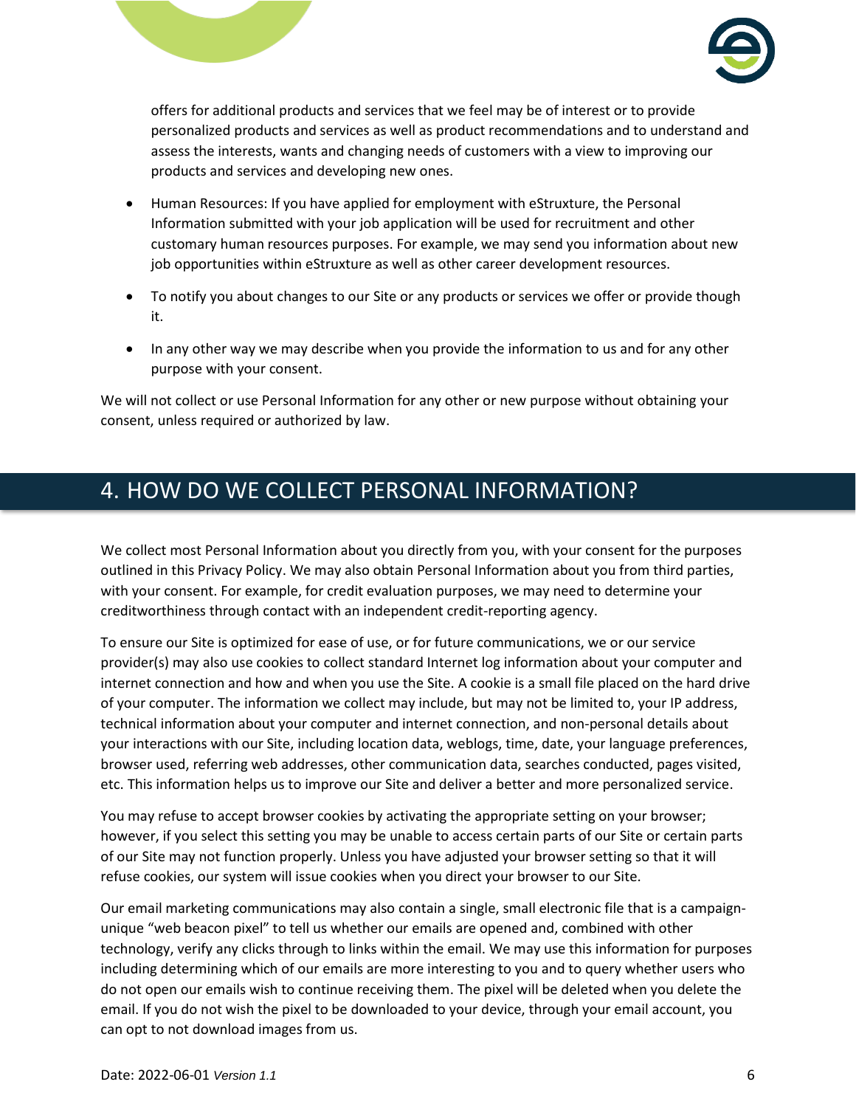

offers for additional products and services that we feel may be of interest or to provide personalized products and services as well as product recommendations and to understand and assess the interests, wants and changing needs of customers with a view to improving our products and services and developing new ones.

- Human Resources: If you have applied for employment with eStruxture, the Personal Information submitted with your job application will be used for recruitment and other customary human resources purposes. For example, we may send you information about new job opportunities within eStruxture as well as other career development resources.
- To notify you about changes to our Site or any products or services we offer or provide though it.
- In any other way we may describe when you provide the information to us and for any other purpose with your consent.

We will not collect or use Personal Information for any other or new purpose without obtaining your consent, unless required or authorized by law.

#### <span id="page-5-0"></span>4. HOW DO WE COLLECT PERSONAL INFORMATION?

We collect most Personal Information about you directly from you, with your consent for the purposes outlined in this Privacy Policy. We may also obtain Personal Information about you from third parties, with your consent. For example, for credit evaluation purposes, we may need to determine your creditworthiness through contact with an independent credit-reporting agency.

To ensure our Site is optimized for ease of use, or for future communications, we or our service provider(s) may also use cookies to collect standard Internet log information about your computer and internet connection and how and when you use the Site. A cookie is a small file placed on the hard drive of your computer. The information we collect may include, but may not be limited to, your IP address, technical information about your computer and internet connection, and non-personal details about your interactions with our Site, including location data, weblogs, time, date, your language preferences, browser used, referring web addresses, other communication data, searches conducted, pages visited, etc. This information helps us to improve our Site and deliver a better and more personalized service.

You may refuse to accept browser cookies by activating the appropriate setting on your browser; however, if you select this setting you may be unable to access certain parts of our Site or certain parts of our Site may not function properly. Unless you have adjusted your browser setting so that it will refuse cookies, our system will issue cookies when you direct your browser to our Site.

Our email marketing communications may also contain a single, small electronic file that is a campaignunique "web beacon pixel" to tell us whether our emails are opened and, combined with other technology, verify any clicks through to links within the email. We may use this information for purposes including determining which of our emails are more interesting to you and to query whether users who do not open our emails wish to continue receiving them. The pixel will be deleted when you delete the email. If you do not wish the pixel to be downloaded to your device, through your email account, you can opt to not download images from us.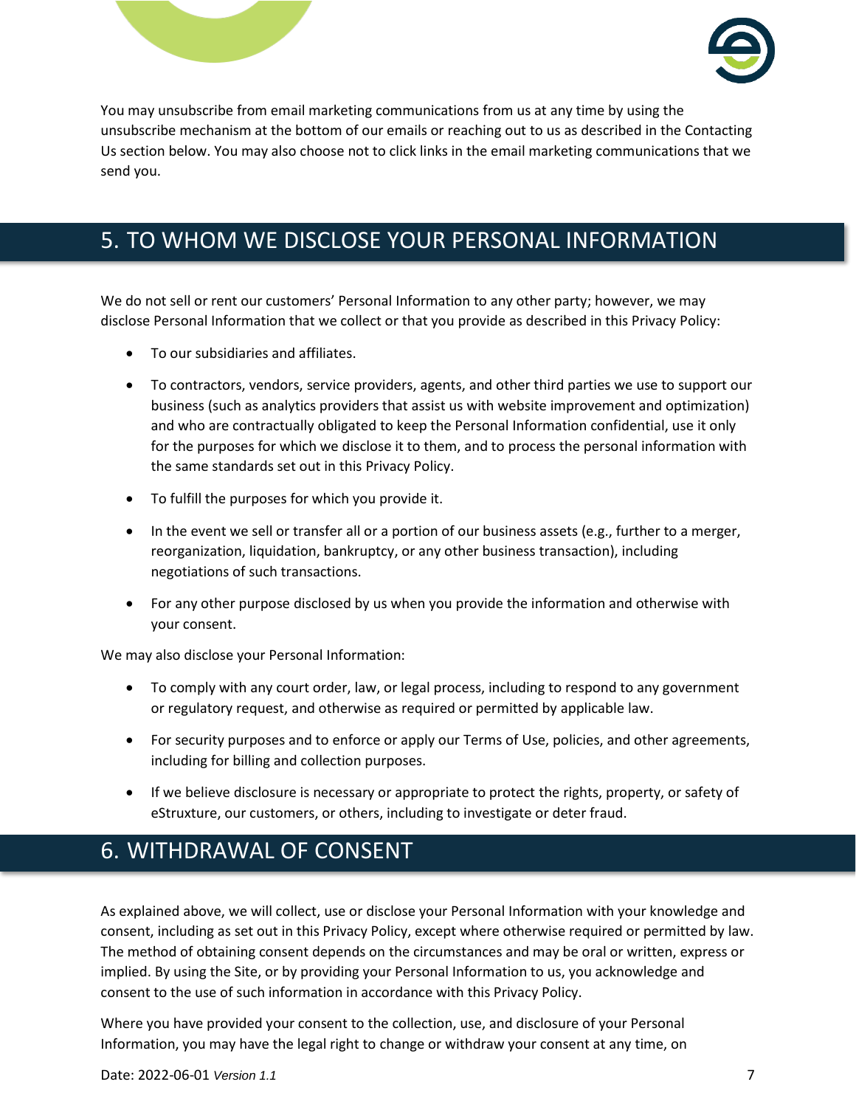

You may unsubscribe from email marketing communications from us at any time by using the unsubscribe mechanism at the bottom of our emails or reaching out to us as described in the Contacting Us section below. You may also choose not to click links in the email marketing communications that we send you.

#### <span id="page-6-0"></span>5. TO WHOM WE DISCLOSE YOUR PERSONAL INFORMATION

We do not sell or rent our customers' Personal Information to any other party; however, we may disclose Personal Information that we collect or that you provide as described in this Privacy Policy:

- To our subsidiaries and affiliates.
- To contractors, vendors, service providers, agents, and other third parties we use to support our business (such as analytics providers that assist us with website improvement and optimization) and who are contractually obligated to keep the Personal Information confidential, use it only for the purposes for which we disclose it to them, and to process the personal information with the same standards set out in this Privacy Policy.
- To fulfill the purposes for which you provide it.
- In the event we sell or transfer all or a portion of our business assets (e.g., further to a merger, reorganization, liquidation, bankruptcy, or any other business transaction), including negotiations of such transactions.
- For any other purpose disclosed by us when you provide the information and otherwise with your consent.

We may also disclose your Personal Information:

- To comply with any court order, law, or legal process, including to respond to any government or regulatory request, and otherwise as required or permitted by applicable law.
- For security purposes and to enforce or apply our Terms of Use, policies, and other agreements, including for billing and collection purposes.
- If we believe disclosure is necessary or appropriate to protect the rights, property, or safety of eStruxture, our customers, or others, including to investigate or deter fraud.

#### <span id="page-6-1"></span>6. WITHDRAWAL OF CONSENT

As explained above, we will collect, use or disclose your Personal Information with your knowledge and consent, including as set out in this Privacy Policy, except where otherwise required or permitted by law. The method of obtaining consent depends on the circumstances and may be oral or written, express or implied. By using the Site, or by providing your Personal Information to us, you acknowledge and consent to the use of such information in accordance with this Privacy Policy.

Where you have provided your consent to the collection, use, and disclosure of your Personal Information, you may have the legal right to change or withdraw your consent at any time, on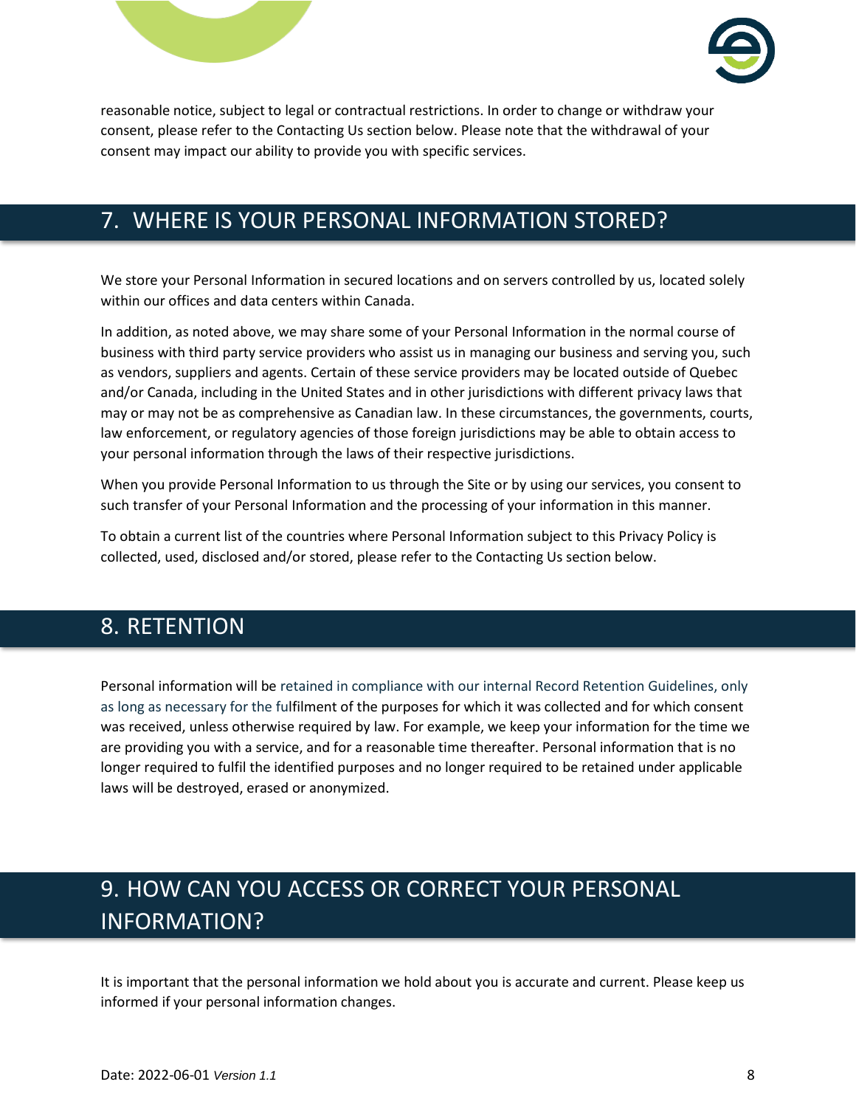

reasonable notice, subject to legal or contractual restrictions. In order to change or withdraw your consent, please refer to the Contacting Us section below. Please note that the withdrawal of your consent may impact our ability to provide you with specific services.

#### <span id="page-7-0"></span>7. WHERE IS YOUR PERSONAL INFORMATION STORED?

We store your Personal Information in secured locations and on servers controlled by us, located solely within our offices and data centers within Canada.

In addition, as noted above, we may share some of your Personal Information in the normal course of business with third party service providers who assist us in managing our business and serving you, such as vendors, suppliers and agents. Certain of these service providers may be located outside of Quebec and/or Canada, including in the United States and in other jurisdictions with different privacy laws that may or may not be as comprehensive as Canadian law. In these circumstances, the governments, courts, law enforcement, or regulatory agencies of those foreign jurisdictions may be able to obtain access to your personal information through the laws of their respective jurisdictions.

When you provide Personal Information to us through the Site or by using our services, you consent to such transfer of your Personal Information and the processing of your information in this manner.

To obtain a current list of the countries where Personal Information subject to this Privacy Policy is collected, used, disclosed and/or stored, please refer to the Contacting Us section below.

#### <span id="page-7-1"></span>8. RETENTION

Personal information will be retained in compliance with our internal Record Retention Guidelines, only as long as necessary for the fulfilment of the purposes for which it was collected and for which consent was received, unless otherwise required by law. For example, we keep your information for the time we are providing you with a service, and for a reasonable time thereafter. Personal information that is no longer required to fulfil the identified purposes and no longer required to be retained under applicable laws will be destroyed, erased or anonymized.

## <span id="page-7-2"></span>9. HOW CAN YOU ACCESS OR CORRECT YOUR PERSONAL INFORMATION?

It is important that the personal information we hold about you is accurate and current. Please keep us informed if your personal information changes.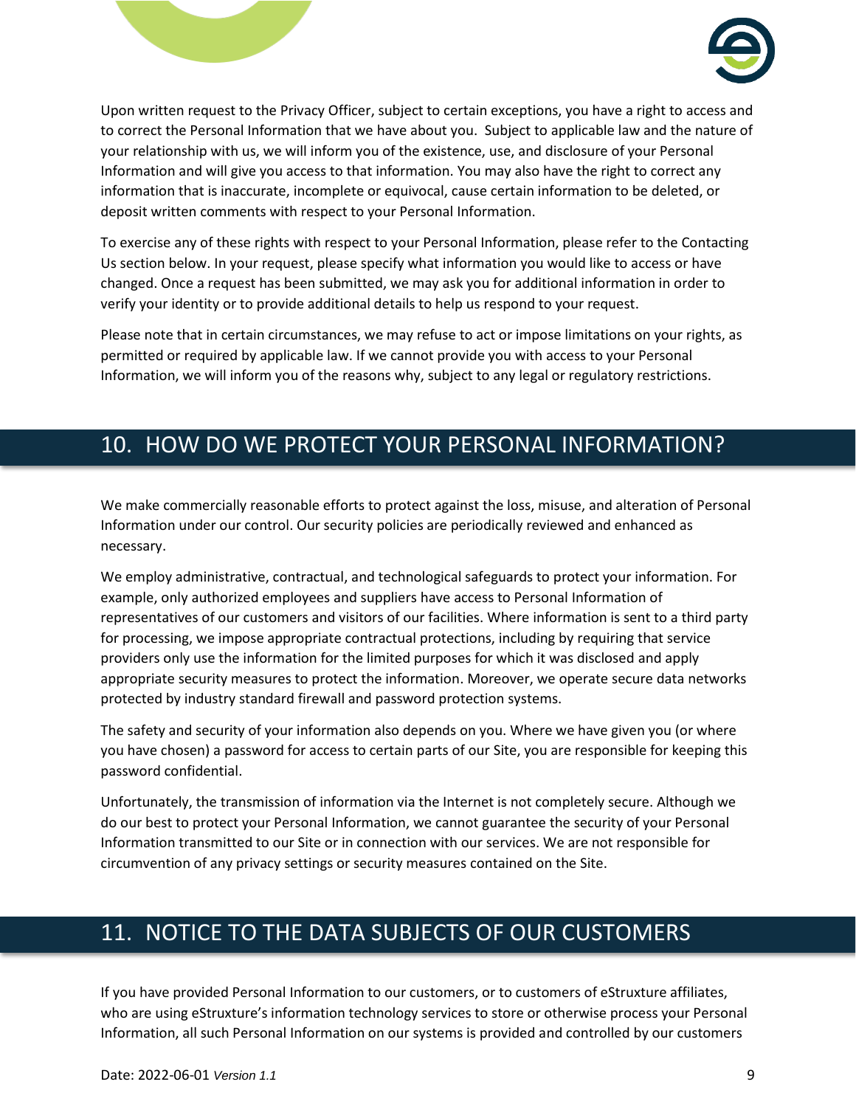

Upon written request to the Privacy Officer, subject to certain exceptions, you have a right to access and to correct the Personal Information that we have about you. Subject to applicable law and the nature of your relationship with us, we will inform you of the existence, use, and disclosure of your Personal Information and will give you access to that information. You may also have the right to correct any information that is inaccurate, incomplete or equivocal, cause certain information to be deleted, or deposit written comments with respect to your Personal Information.

To exercise any of these rights with respect to your Personal Information, please refer to the Contacting Us section below. In your request, please specify what information you would like to access or have changed. Once a request has been submitted, we may ask you for additional information in order to verify your identity or to provide additional details to help us respond to your request.

Please note that in certain circumstances, we may refuse to act or impose limitations on your rights, as permitted or required by applicable law. If we cannot provide you with access to your Personal Information, we will inform you of the reasons why, subject to any legal or regulatory restrictions.

#### <span id="page-8-0"></span>10. HOW DO WE PROTECT YOUR PERSONAL INFORMATION?

We make commercially reasonable efforts to protect against the loss, misuse, and alteration of Personal Information under our control. Our security policies are periodically reviewed and enhanced as necessary.

We employ administrative, contractual, and technological safeguards to protect your information. For example, only authorized employees and suppliers have access to Personal Information of representatives of our customers and visitors of our facilities. Where information is sent to a third party for processing, we impose appropriate contractual protections, including by requiring that service providers only use the information for the limited purposes for which it was disclosed and apply appropriate security measures to protect the information. Moreover, we operate secure data networks protected by industry standard firewall and password protection systems.

The safety and security of your information also depends on you. Where we have given you (or where you have chosen) a password for access to certain parts of our Site, you are responsible for keeping this password confidential.

Unfortunately, the transmission of information via the Internet is not completely secure. Although we do our best to protect your Personal Information, we cannot guarantee the security of your Personal Information transmitted to our Site or in connection with our services. We are not responsible for circumvention of any privacy settings or security measures contained on the Site.

#### <span id="page-8-1"></span>11. NOTICE TO THE DATA SUBJECTS OF OUR CUSTOMERS

If you have provided Personal Information to our customers, or to customers of eStruxture affiliates, who are using eStruxture's information technology services to store or otherwise process your Personal Information, all such Personal Information on our systems is provided and controlled by our customers